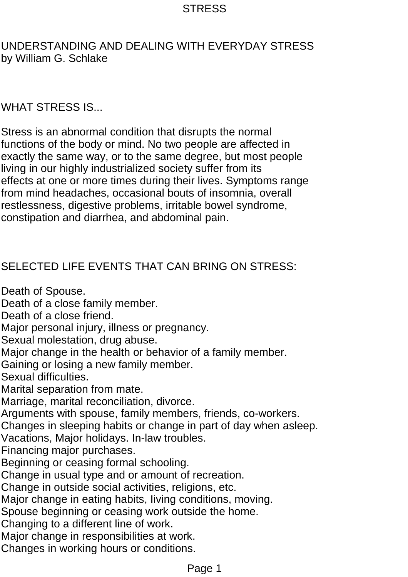UNDERSTANDING AND DEALING WITH EVERYDAY STRESS by William G. Schlake

## WHAT STRESS IS...

Stress is an abnormal condition that disrupts the normal functions of the body or mind. No two people are affected in exactly the same way, or to the same degree, but most people living in our highly industrialized society suffer from its effects at one or more times during their lives. Symptoms range from mind headaches, occasional bouts of insomnia, overall restlessness, digestive problems, irritable bowel syndrome, constipation and diarrhea, and abdominal pain.

# SELECTED LIFE EVENTS THAT CAN BRING ON STRESS:

Death of Spouse.

- Death of a close family member.
- Death of a close friend.
- Major personal injury, illness or pregnancy.
- Sexual molestation, drug abuse.
- Major change in the health or behavior of a family member.
- Gaining or losing a new family member.
- Sexual difficulties.
- Marital separation from mate.
- Marriage, marital reconciliation, divorce.
- Arguments with spouse, family members, friends, co-workers.
- Changes in sleeping habits or change in part of day when asleep.
- Vacations, Major holidays. In-law troubles.
- Financing major purchases.
- Beginning or ceasing formal schooling.
- Change in usual type and or amount of recreation.
- Change in outside social activities, religions, etc.
- Major change in eating habits, Iiving conditions, moving.
- Spouse beginning or ceasing work outside the home.
- Changing to a different line of work.
- Major change in responsibilities at work.
- Changes in working hours or conditions.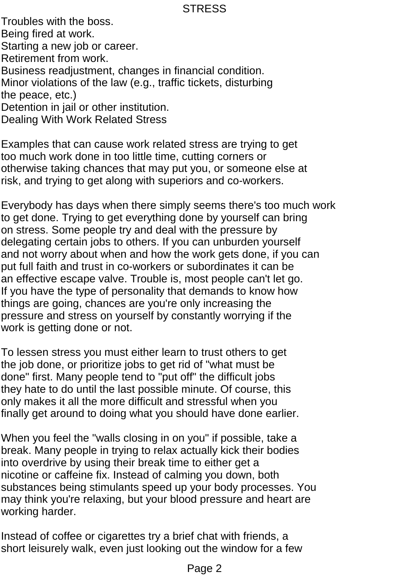Troubles with the boss. Being fired at work. Starting a new job or career. Retirement from work. Business readjustment, changes in financial condition. Minor violations of the law (e.g., traffic tickets, disturbing the peace, etc.) Detention in jail or other institution. Dealing With Work Related Stress

Examples that can cause work related stress are trying to get too much work done in too little time, cutting corners or otherwise taking chances that may put you, or someone else at risk, and trying to get along with superiors and co-workers.

Everybody has days when there simply seems there's too much work to get done. Trying to get everything done by yourself can bring on stress. Some people try and deal with the pressure by delegating certain jobs to others. If you can unburden yourself and not worry about when and how the work gets done, if you can put full faith and trust in co-workers or subordinates it can be an effective escape valve. Trouble is, most people can't let go. If you have the type of personality that demands to know how things are going, chances are you're only increasing the pressure and stress on yourself by constantly worrying if the work is getting done or not.

To lessen stress you must either learn to trust others to get the job done, or prioritize jobs to get rid of "what must be done" first. Many people tend to "put off" the difficult jobs they hate to do until the last possible minute. Of course, this only makes it all the more difficult and stressful when you finally get around to doing what you should have done earlier.

When you feel the "walls closing in on you" if possible, take a break. Many people in trying to relax actually kick their bodies into overdrive by using their break time to either get a nicotine or caffeine fix. Instead of calming you down, both substances being stimulants speed up your body processes. You may think you're relaxing, but your blood pressure and heart are working harder.

Instead of coffee or cigarettes try a brief chat with friends, a short leisurely walk, even just looking out the window for a few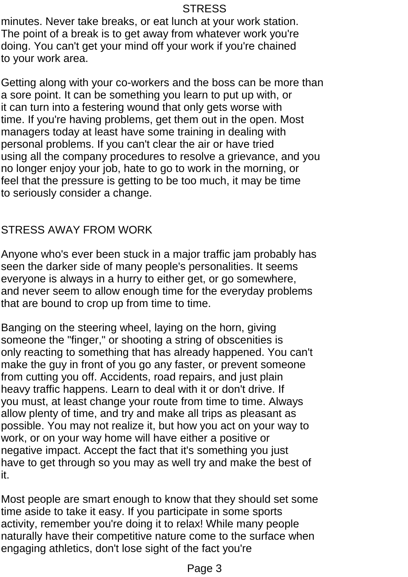minutes. Never take breaks, or eat lunch at your work station. The point of a break is to get away from whatever work you're doing. You can't get your mind off your work if you're chained to your work area.

Getting along with your co-workers and the boss can be more than a sore point. It can be something you learn to put up with, or it can turn into a festering wound that only gets worse with time. If you're having problems, get them out in the open. Most managers today at least have some training in dealing with personal problems. If you can't clear the air or have tried using all the company procedures to resolve a grievance, and you no longer enjoy your job, hate to go to work in the morning, or feel that the pressure is getting to be too much, it may be time to seriously consider a change.

## STRESS AWAY FROM WORK

Anyone who's ever been stuck in a major traffic jam probably has seen the darker side of many people's personalities. It seems everyone is always in a hurry to either get, or go somewhere, and never seem to allow enough time for the everyday problems that are bound to crop up from time to time.

Banging on the steering wheel, laying on the horn, giving someone the "finger," or shooting a string of obscenities is only reacting to something that has already happened. You can't make the guy in front of you go any faster, or prevent someone from cutting you off. Accidents, road repairs, and just plain heavy traffic happens. Learn to deal with it or don't drive. If you must, at least change your route from time to time. Always allow plenty of time, and try and make all trips as pleasant as possible. You may not realize it, but how you act on your way to work, or on your way home will have either a positive or negative impact. Accept the fact that it's something you just have to get through so you may as well try and make the best of it.

Most people are smart enough to know that they should set some time aside to take it easy. If you participate in some sports activity, remember you're doing it to relax! While many people naturally have their competitive nature come to the surface when engaging athletics, don't lose sight of the fact you're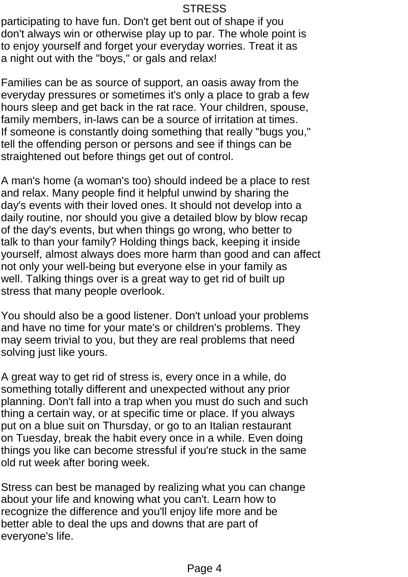participating to have fun. Don't get bent out of shape if you don't always win or otherwise play up to par. The whole point is to enjoy yourself and forget your everyday worries. Treat it as a night out with the "boys," or gals and relax!

Families can be as source of support, an oasis away from the everyday pressures or sometimes it's only a place to grab a few hours sleep and get back in the rat race. Your children, spouse, family members, in-laws can be a source of irritation at times. If someone is constantly doing something that really "bugs you," tell the offending person or persons and see if things can be straightened out before things get out of control.

A man's home (a woman's too) should indeed be a place to rest and relax. Many people find it helpful unwind by sharing the day's events with their loved ones. It should not develop into a daily routine, nor should you give a detailed blow by blow recap of the day's events, but when things go wrong, who better to talk to than your family? Holding things back, keeping it inside yourself, almost always does more harm than good and can affect not only your well-being but everyone else in your family as well. Talking things over is a great way to get rid of built up stress that many people overlook.

You should also be a good listener. Don't unload your problems and have no time for your mate's or children's problems. They may seem trivial to you, but they are real problems that need solving just like yours.

A great way to get rid of stress is, every once in a while, do something totally different and unexpected without any prior planning. Don't fall into a trap when you must do such and such thing a certain way, or at specific time or place. If you always put on a blue suit on Thursday, or go to an Italian restaurant on Tuesday, break the habit every once in a while. Even doing things you like can become stressful if you're stuck in the same old rut week after boring week.

Stress can best be managed by realizing what you can change about your life and knowing what you can't. Learn how to recognize the difference and you'll enjoy life more and be better able to deal the ups and downs that are part of everyone's life.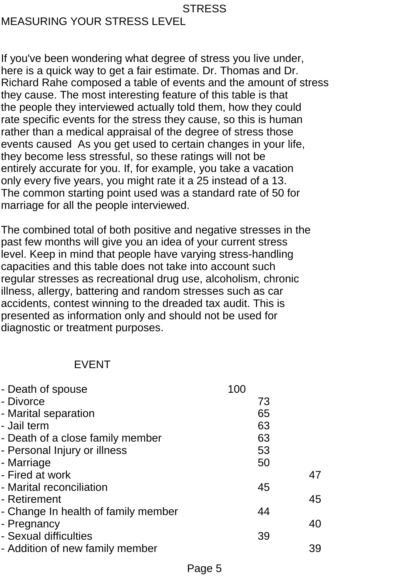# MEASURING YOUR STRESS LEVEL

If you've been wondering what degree of stress you live under, here is a quick way to get a fair estimate. Dr. Thomas and Dr. Richard Rahe composed a table of events and the amount of stress they cause. The most interesting feature of this table is that the people they interviewed actually told them, how they could rate specific events for the stress they cause, so this is human rather than a medical appraisal of the degree of stress those events caused As you get used to certain changes in your life, they become less stressful, so these ratings will not be entirely accurate for you. If, for example, you take a vacation only every five years, you might rate it a 25 instead of a 13. The common starting point used was a standard rate of 50 for marriage for all the people interviewed.

The combined total of both positive and negative stresses in the past few months will give you an idea of your current stress level. Keep in mind that people have varying stress-handling capacities and this table does not take into account such regular stresses as recreational drug use, alcoholism, chronic illness, allergy, battering and random stresses such as car accidents, contest winning to the dreaded tax audit. This is presented as information only and should not be used for diagnostic or treatment purposes.

#### EVENT

| - Death of spouse                   | 100 |    |
|-------------------------------------|-----|----|
| - Divorce                           | 73  |    |
| - Marital separation                | 65  |    |
| - Jail term                         | 63  |    |
| - Death of a close family member    | 63  |    |
| - Personal Injury or illness        | 53  |    |
| - Marriage                          | 50  |    |
| - Fired at work                     |     | 47 |
| - Marital reconciliation            | 45  |    |
| - Retirement                        |     | 45 |
| - Change In health of family member | 44  |    |
| - Pregnancy                         |     | 40 |
| - Sexual difficulties               | 39  |    |
| - Addition of new family member     |     | 39 |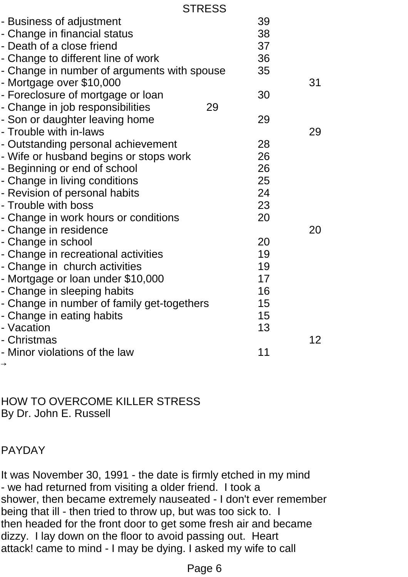| STRESS |
|--------|
|--------|

| - Business of adjustment                    | 39 |    |
|---------------------------------------------|----|----|
| - Change in financial status                | 38 |    |
| - Death of a close friend                   | 37 |    |
| - Change to different line of work          | 36 |    |
| - Change in number of arguments with spouse | 35 |    |
| - Mortgage over \$10,000                    |    | 31 |
| - Foreclosure of mortgage or loan           | 30 |    |
| - Change in job responsibilities<br>29      |    |    |
| - Son or daughter leaving home              | 29 |    |
| - Trouble with in-laws                      |    | 29 |
| - Outstanding personal achievement          | 28 |    |
| - Wife or husband begins or stops work      | 26 |    |
| - Beginning or end of school                | 26 |    |
| - Change in living conditions               | 25 |    |
| - Revision of personal habits               | 24 |    |
| - Trouble with boss                         | 23 |    |
| - Change in work hours or conditions        | 20 |    |
| - Change in residence                       |    | 20 |
| - Change in school                          | 20 |    |
| - Change in recreational activities         | 19 |    |
| - Change in church activities               | 19 |    |
| - Mortgage or loan under \$10,000           | 17 |    |
| - Change in sleeping habits                 | 16 |    |
| - Change in number of family get-togethers  | 15 |    |
| - Change in eating habits                   | 15 |    |
| - Vacation                                  | 13 |    |
| - Christmas                                 |    | 12 |
| - Minor violations of the law               | 11 |    |
|                                             |    |    |

 $\rightarrow$ 

HOW TO OVERCOME KILLER STRESS By Dr. John E. Russell

#### PAYDAY

It was November 30, 1991 - the date is firmly etched in my mind - we had returned from visiting a older friend. I took a shower, then became extremely nauseated - I don't ever remember being that ill - then tried to throw up, but was too sick to. I then headed for the front door to get some fresh air and became dizzy. I lay down on the floor to avoid passing out. Heart attack! came to mind - I may be dying. I asked my wife to call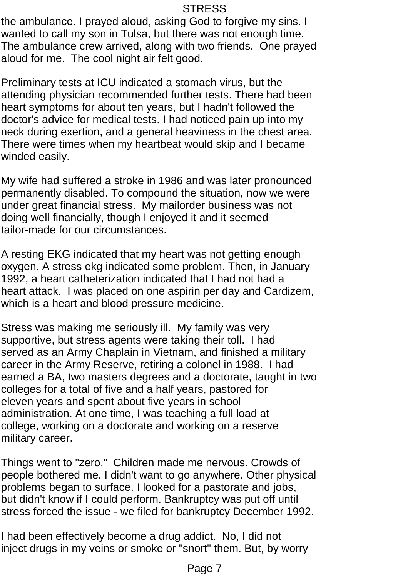the ambulance. I prayed aloud, asking God to forgive my sins. I wanted to call my son in Tulsa, but there was not enough time. The ambulance crew arrived, along with two friends. One prayed aloud for me. The cool night air felt good.

Preliminary tests at ICU indicated a stomach virus, but the attending physician recommended further tests. There had been heart symptoms for about ten years, but I hadn't followed the doctor's advice for medical tests. I had noticed pain up into my neck during exertion, and a general heaviness in the chest area. There were times when my heartbeat would skip and I became winded easily.

My wife had suffered a stroke in 1986 and was later pronounced permanently disabled. To compound the situation, now we were under great financial stress. My mailorder business was not doing well financially, though I enjoyed it and it seemed tailor-made for our circumstances.

A resting EKG indicated that my heart was not getting enough oxygen. A stress ekg indicated some problem. Then, in January 1992, a heart catheterization indicated that I had not had a heart attack. I was placed on one aspirin per day and Cardizem, which is a heart and blood pressure medicine.

Stress was making me seriously ill. My family was very supportive, but stress agents were taking their toll. I had served as an Army Chaplain in Vietnam, and finished a military career in the Army Reserve, retiring a colonel in 1988. I had earned a BA, two masters degrees and a doctorate, taught in two colleges for a total of five and a half years, pastored for eleven years and spent about five years in school administration. At one time, I was teaching a full load at college, working on a doctorate and working on a reserve military career.

Things went to "zero." Children made me nervous. Crowds of people bothered me. I didn't want to go anywhere. Other physical problems began to surface. I looked for a pastorate and jobs, but didn't know if I could perform. Bankruptcy was put off until stress forced the issue - we filed for bankruptcy December 1992.

I had been effectively become a drug addict. No, I did not inject drugs in my veins or smoke or "snort" them. But, by worry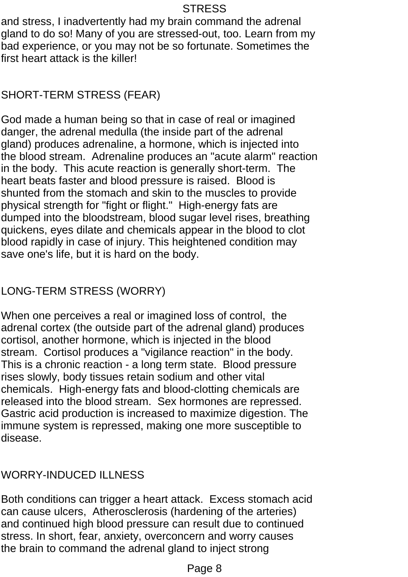and stress, I inadvertently had my brain command the adrenal gland to do so! Many of you are stressed-out, too. Learn from my bad experience, or you may not be so fortunate. Sometimes the first heart attack is the killer!

# SHORT-TERM STRESS (FEAR)

God made a human being so that in case of real or imagined danger, the adrenal medulla (the inside part of the adrenal gland) produces adrenaline, a hormone, which is injected into the blood stream. Adrenaline produces an "acute alarm" reaction in the body. This acute reaction is generally short-term. The heart beats faster and blood pressure is raised. Blood is shunted from the stomach and skin to the muscles to provide physical strength for "fight or flight." High-energy fats are dumped into the bloodstream, blood sugar level rises, breathing quickens, eyes dilate and chemicals appear in the blood to clot blood rapidly in case of injury. This heightened condition may save one's life, but it is hard on the body.

# LONG-TERM STRESS (WORRY)

When one perceives a real or imagined loss of control, the adrenal cortex (the outside part of the adrenal gland) produces cortisol, another hormone, which is injected in the blood stream. Cortisol produces a "vigilance reaction" in the body. This is a chronic reaction - a long term state. Blood pressure rises slowly, body tissues retain sodium and other vital chemicals. High-energy fats and blood-clotting chemicals are released into the blood stream. Sex hormones are repressed. Gastric acid production is increased to maximize digestion. The immune system is repressed, making one more susceptible to disease.

# WORRY-INDUCED ILLNESS

Both conditions can trigger a heart attack. Excess stomach acid can cause ulcers, Atherosclerosis (hardening of the arteries) and continued high blood pressure can result due to continued stress. In short, fear, anxiety, overconcern and worry causes the brain to command the adrenal gland to inject strong